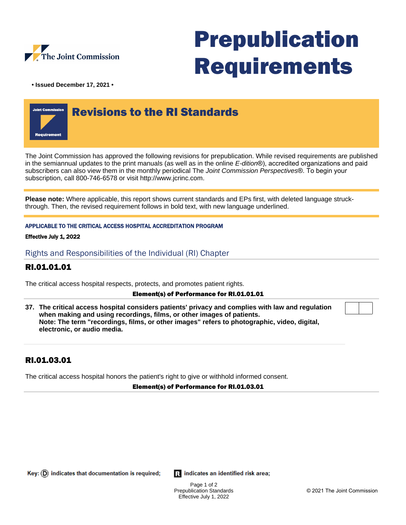

# Prepublication Requirements

**• Issued December 17, 2021 •**



The Joint Commission has approved the following revisions for prepublication. While revised requirements are published in the semiannual updates to the print manuals (as well as in the online E-dition®), accredited organizations and paid subscribers can also view them in the monthly periodical The Joint Commission Perspectives®. To begin your subscription, call 800-746-6578 or visit http://www.jcrinc.com.

**Please note:** Where applicable, this report shows current standards and EPs first, with deleted language struckthrough. Then, the revised requirement follows in bold text, with new language underlined.

## APPLICABLE TO THE CRITICAL ACCESS HOSPITAL ACCREDITATION PROGRAM

### Effective July 1, 2022

Rights and Responsibilities of the Individual (RI) Chapter

## RI.01.01.01

The critical access hospital respects, protects, and promotes patient rights.

### Element(s) of Performance for RI.01.01.01

**37. The critical access hospital considers patients' privacy and complies with law and regulation when making and using recordings, films, or other images of patients. Note: The term "recordings, films, or other images" refers to photographic, video, digital, electronic, or audio media.**

## RI.01.03.01

The critical access hospital honors the patient's right to give or withhold informed consent.

### Element(s) of Performance for RI.01.03.01

Key:  $(D)$  indicates that documentation is required;

**R** indicates an identified risk area;

Page 1 of 2 Prepublication Standards Effective July 1, 2022